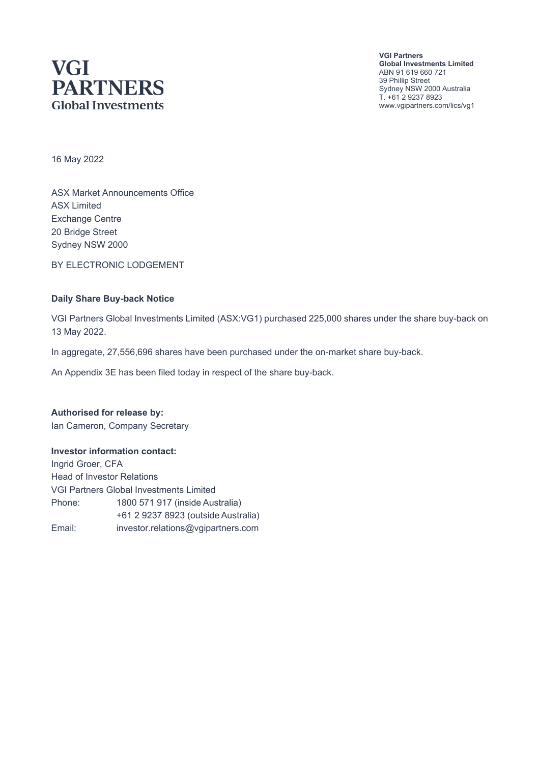# **VGI PARTNERS Global Investments**

**VGI Partners Global Investments Limited** ABN 91 619 660 721 39 Phillip Street Sydney NSW 2000 Australia T. +61 2 9237 8923 www.vgipartners.com/lics/vg1

16 May 2022

ASX Market Announcements Office ASX Limited Exchange Centre 20 Bridge Street Sydney NSW 2000

BY ELECTRONIC LODGEMENT

#### **Daily Share Buy-back Notice**

VGI Partners Global Investments Limited (ASX:VG1) purchased 225,000 shares under the share buy-back on 13 May 2022.

In aggregate, 27,556,696 shares have been purchased under the on-market share buy-back.

An Appendix 3E has been filed today in respect of the share buy-back.

**Authorised for release by:** Ian Cameron, Company Secretary

#### **Investor information contact:**

Ingrid Groer, CFA Head of Investor Relations VGI Partners Global Investments Limited Phone: 1800 571 917 (inside Australia) +61 2 9237 8923 (outside Australia) Email: investor.relations@vgipartners.com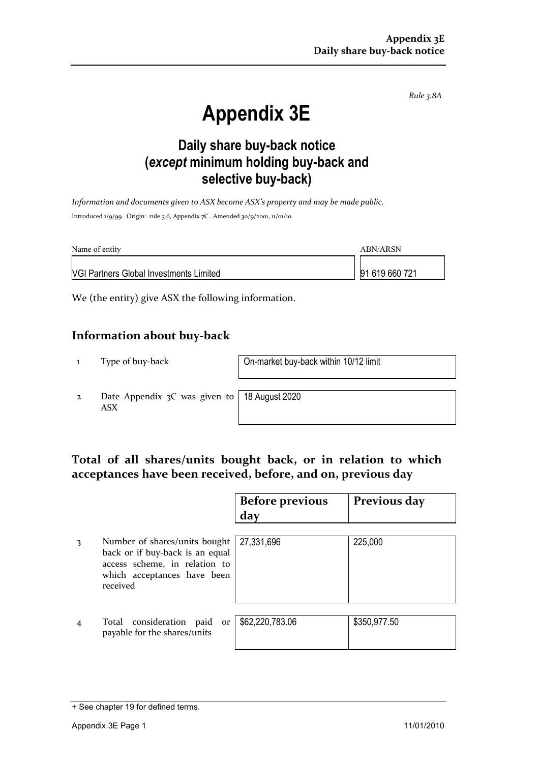*Rule 3.8A*

# **Appendix 3E**

## **Daily share buy-back notice (***except* **minimum holding buy-back and selective buy-back)**

*Information and documents given to ASX become ASX's property and may be made public.* Introduced 1/9/99. Origin: rule 3.6, Appendix 7C. Amended 30/9/2001, 11/01/10

| Name of entity                                 | ABN/ARSN       |
|------------------------------------------------|----------------|
| <b>VGI Partners Global Investments Limited</b> | 91 619 660 721 |

We (the entity) give ASX the following information.

#### **Information about buy-back**

1 Type of buy-back On-market buy-back within 10/12 limit

2 Date Appendix 3C was given to ASX

18 August 2020

### **Total of all shares/units bought back, or in relation to which acceptances have been received, before, and on, previous day**

|   |                                                                                                                                              | <b>Before previous</b><br>day | Previous day |
|---|----------------------------------------------------------------------------------------------------------------------------------------------|-------------------------------|--------------|
| 3 | Number of shares/units bought<br>back or if buy-back is an equal<br>access scheme, in relation to<br>which acceptances have been<br>received | 27,331,696                    | 225,000      |
|   | Total consideration paid<br>or<br>payable for the shares/units                                                                               | \$62,220,783.06               | \$350,977.50 |

<sup>+</sup> See chapter 19 for defined terms.